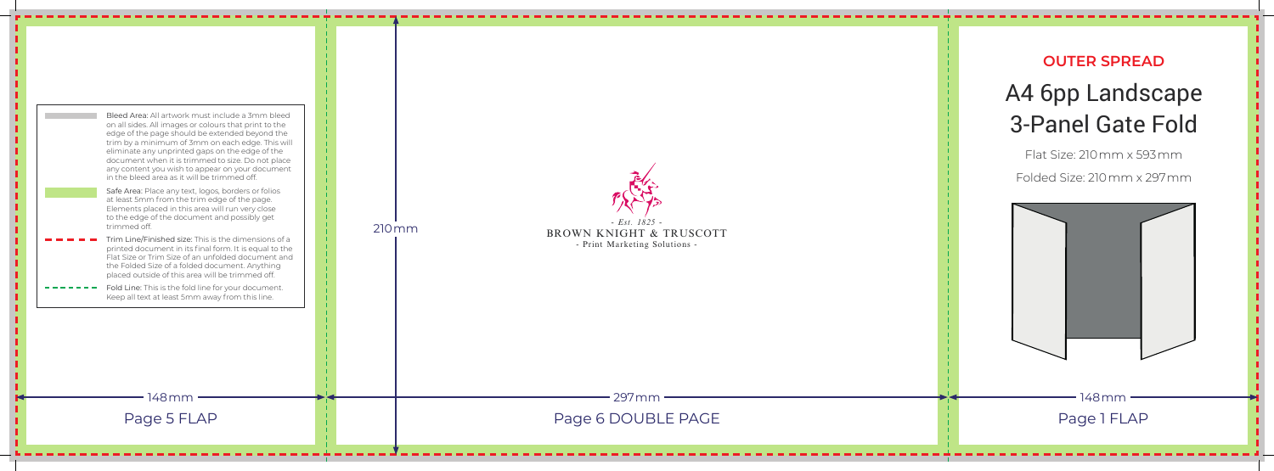**OUTER SPREAD**

## A4 6pp Landscape 3-Panel Gate Fold Flat Size: 210mm x 593mm Folded Size: 210mm x 297mm